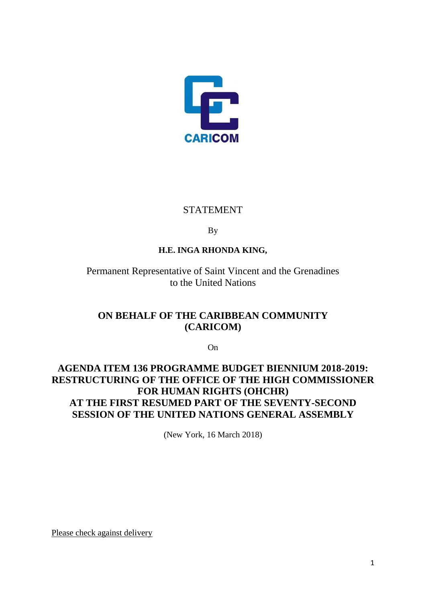

## STATEMENT

By

## **H.E. INGA RHONDA KING,**

Permanent Representative of Saint Vincent and the Grenadines to the United Nations

# **ON BEHALF OF THE CARIBBEAN COMMUNITY (CARICOM)**

On

# **AGENDA ITEM 136 PROGRAMME BUDGET BIENNIUM 2018-2019: RESTRUCTURING OF THE OFFICE OF THE HIGH COMMISSIONER FOR HUMAN RIGHTS (OHCHR) AT THE FIRST RESUMED PART OF THE SEVENTY-SECOND SESSION OF THE UNITED NATIONS GENERAL ASSEMBLY**

(New York, 16 March 2018)

Please check against delivery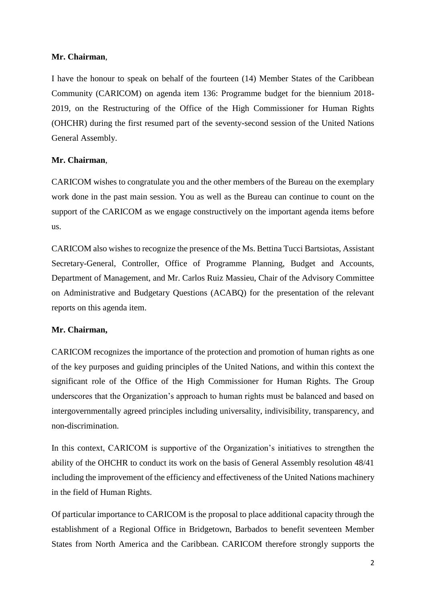## **Mr. Chairman**,

I have the honour to speak on behalf of the fourteen (14) Member States of the Caribbean Community (CARICOM) on agenda item 136: Programme budget for the biennium 2018- 2019, on the Restructuring of the Office of the High Commissioner for Human Rights (OHCHR) during the first resumed part of the seventy-second session of the United Nations General Assembly.

## **Mr. Chairman**,

CARICOM wishes to congratulate you and the other members of the Bureau on the exemplary work done in the past main session. You as well as the Bureau can continue to count on the support of the CARICOM as we engage constructively on the important agenda items before us.

CARICOM also wishes to recognize the presence of the Ms. Bettina Tucci Bartsiotas, Assistant Secretary-General, Controller, Office of Programme Planning, Budget and Accounts, Department of Management, and Mr. Carlos Ruiz Massieu, Chair of the Advisory Committee on Administrative and Budgetary Questions (ACABQ) for the presentation of the relevant reports on this agenda item.

### **Mr. Chairman,**

CARICOM recognizes the importance of the protection and promotion of human rights as one of the key purposes and guiding principles of the United Nations, and within this context the significant role of the Office of the High Commissioner for Human Rights. The Group underscores that the Organization's approach to human rights must be balanced and based on intergovernmentally agreed principles including universality, indivisibility, transparency, and non-discrimination.

In this context, CARICOM is supportive of the Organization's initiatives to strengthen the ability of the OHCHR to conduct its work on the basis of General Assembly resolution 48/41 including the improvement of the efficiency and effectiveness of the United Nations machinery in the field of Human Rights.

Of particular importance to CARICOM is the proposal to place additional capacity through the establishment of a Regional Office in Bridgetown, Barbados to benefit seventeen Member States from North America and the Caribbean. CARICOM therefore strongly supports the